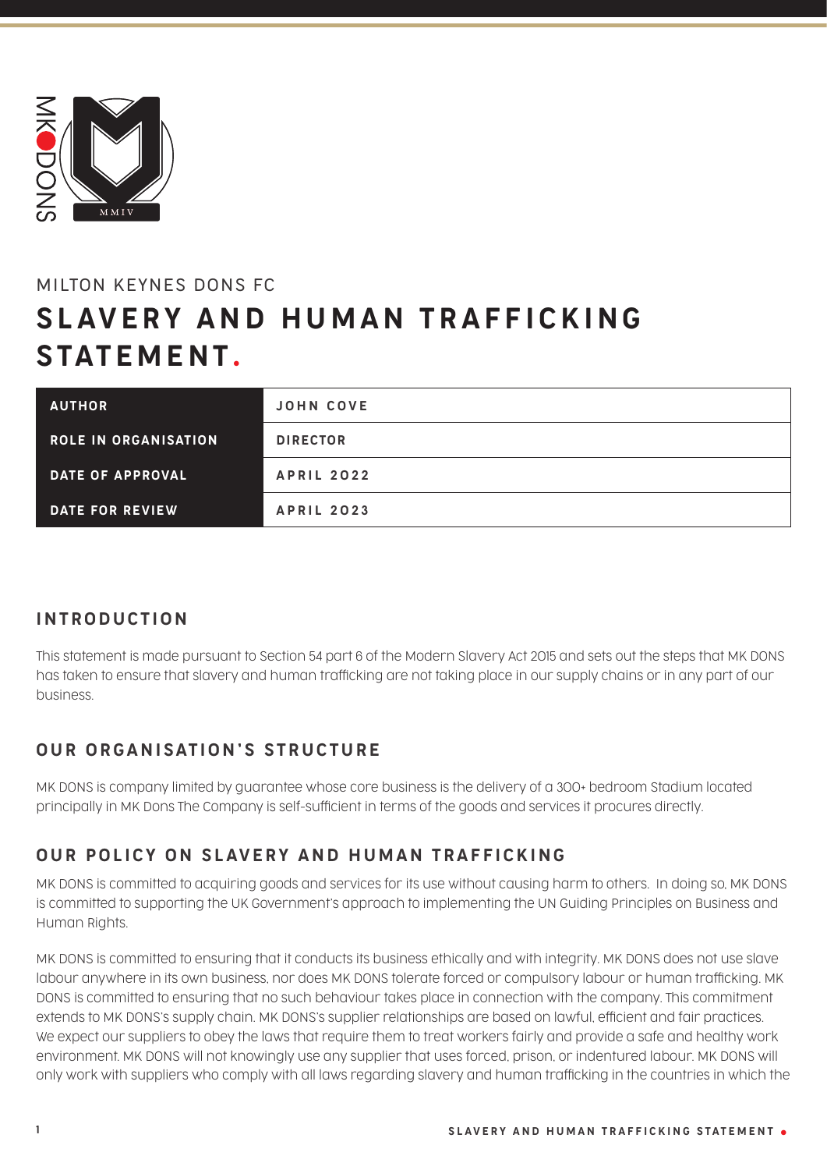

# MILTON KEYNES DONS FC SLAVERY AND HUMAN TRAFFICKING STATEMENT.

| <b>AUTHOR</b>               | <b>JOHN COVE</b>  |
|-----------------------------|-------------------|
| <b>ROLE IN ORGANISATION</b> | <b>DIRECTOR</b>   |
| DATE OF APPROVAL            | <b>APRIL 2022</b> |
| <b>DATE FOR REVIEW</b>      | <b>APRIL 2023</b> |

# INTRODUCTION

This statement is made pursuant to Section 54 part 6 of the Modern Slavery Act 2015 and sets out the steps that MK DONS has taken to ensure that slavery and human trafficking are not taking place in our supply chains or in any part of our business.

# OUR ORGANISATION'S STRUCTURE

MK DONS is company limited by guarantee whose core business is the delivery of a 300+ bedroom Stadium located principally in MK Dons The Company is self-sufficient in terms of the goods and services it procures directly.

# OUR POLICY ON SLAVERY AND HUMAN TRAFFICKING

MK DONS is committed to acquiring goods and services for its use without causing harm to others. In doing so, MK DONS is committed to supporting the UK Government's approach to implementing the UN Guiding Principles on Business and Human Rights.

MK DONS is committed to ensuring that it conducts its business ethically and with integrity. MK DONS does not use slave labour anywhere in its own business, nor does MK DONS tolerate forced or compulsory labour or human trafficking. MK DONS is committed to ensuring that no such behaviour takes place in connection with the company. This commitment extends to MK DONS's supply chain. MK DONS's supplier relationships are based on lawful, efficient and fair practices. We expect our suppliers to obey the laws that require them to treat workers fairly and provide a safe and healthy work environment. MK DONS will not knowingly use any supplier that uses forced, prison, or indentured labour. MK DONS will only work with suppliers who comply with all laws regarding slavery and human trafficking in the countries in which the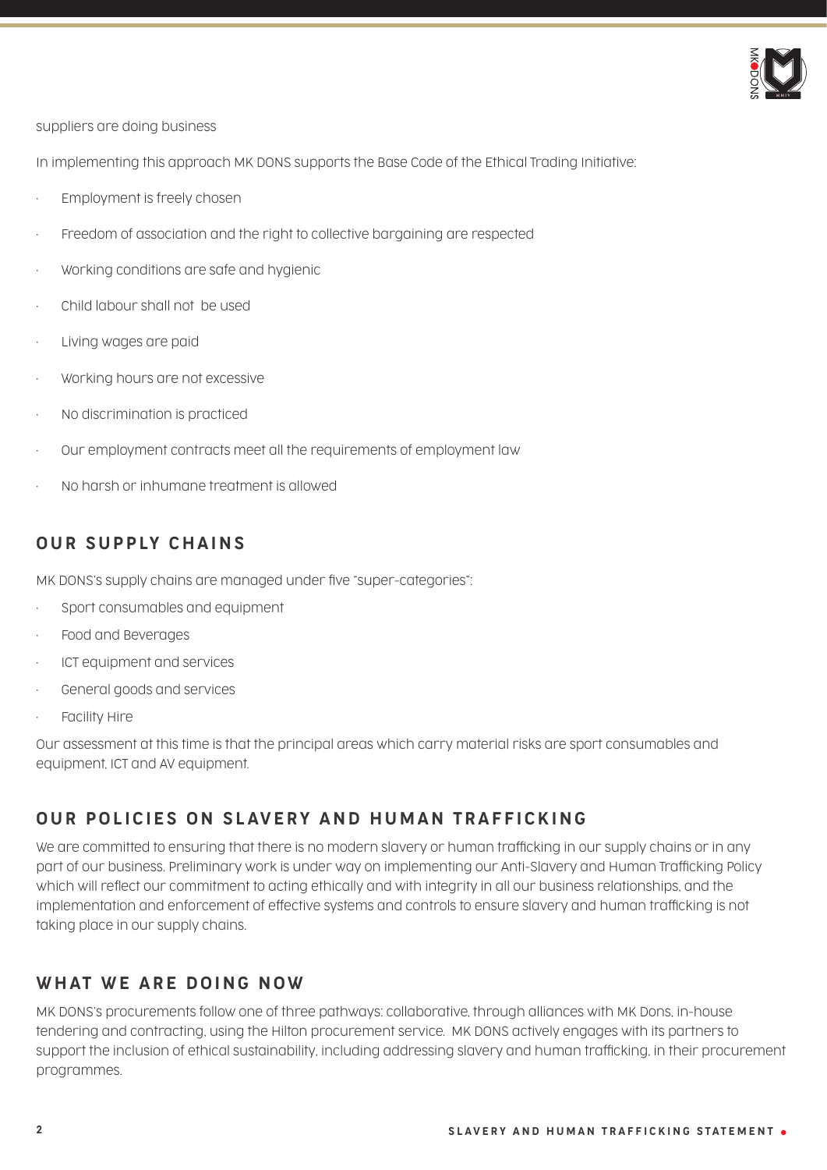

suppliers are doing business

In implementing this approach MK DONS supports the Base Code of the Ethical Trading Initiative:

- Employment is freely chosen
- Freedom of association and the right to collective bargaining are respected
- Working conditions are safe and hygienic
- Child labour shall not be used
- Living wages are paid
- Working hours are not excessive
- No discrimination is practiced
- Our employment contracts meet all the requirements of employment law
- No harsh or inhumane treatment is allowed

# OUR SUPPLY CHAINS

MK DONS's supply chains are managed under five "super-categories":

- Sport consumables and equipment
- Food and Beverages
- ICT equipment and services
- General goods and services
- Facility Hire

Our assessment at this time is that the principal areas which carry material risks are sport consumables and equipment, ICT and AV equipment.

# OUR POLICIES ON SLAVERY AND HUMAN TRAFFICKING

We are committed to ensuring that there is no modern slavery or human trafficking in our supply chains or in any part of our business. Preliminary work is under way on implementing our Anti-Slavery and Human Trafficking Policy which will reflect our commitment to acting ethically and with integrity in all our business relationships, and the implementation and enforcement of effective systems and controls to ensure slavery and human trafficking is not taking place in our supply chains.

# WHAT WE ARE DOING NOW

MK DONS's procurements follow one of three pathways: collaborative, through alliances with MK Dons, in-house tendering and contracting, using the Hilton procurement service. MK DONS actively engages with its partners to support the inclusion of ethical sustainability, including addressing slavery and human trafficking, in their procurement programmes.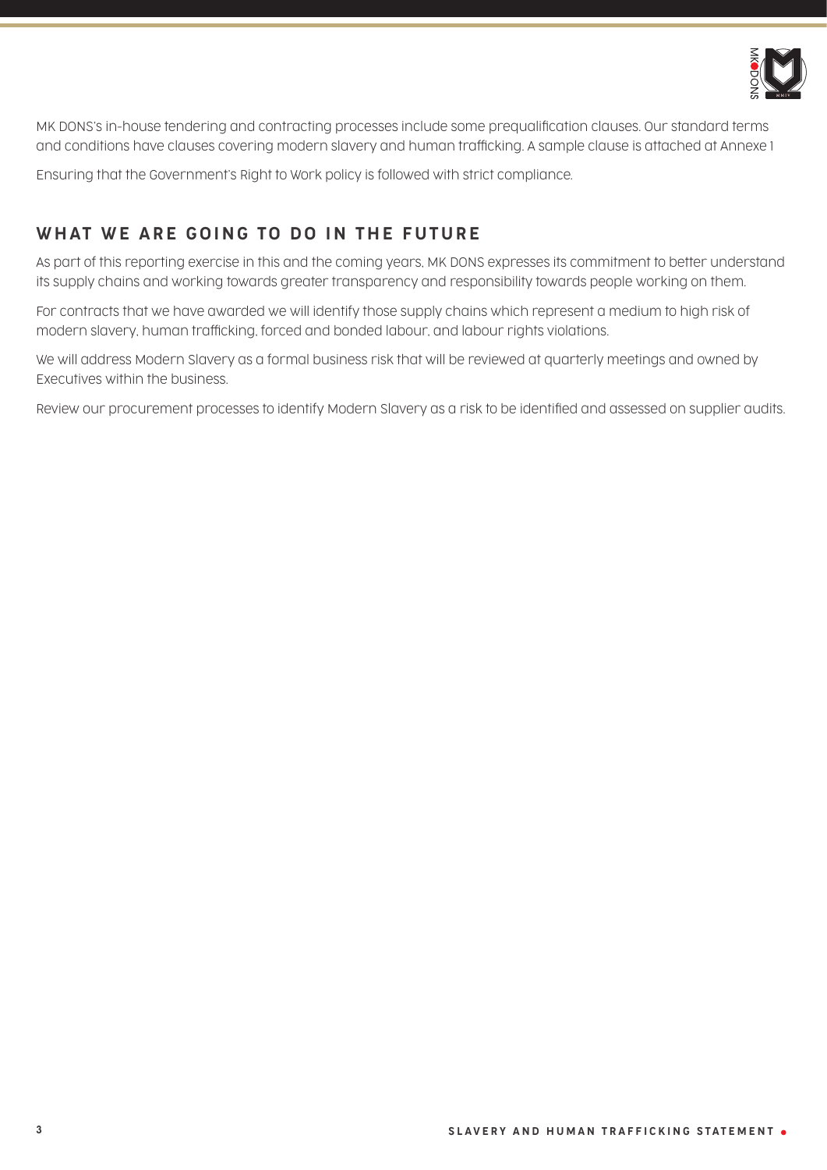

MK DONS's in-house tendering and contracting processes include some prequalification clauses. Our standard terms and conditions have clauses covering modern slavery and human trafficking. A sample clause is attached at Annexe 1

Ensuring that the Government's Right to Work policy is followed with strict compliance.

# WHAT WE ARE GOING TO DO IN THE FUTURE

As part of this reporting exercise in this and the coming years, MK DONS expresses its commitment to better understand its supply chains and working towards greater transparency and responsibility towards people working on them.

For contracts that we have awarded we will identify those supply chains which represent a medium to high risk of modern slavery, human trafficking, forced and bonded labour, and labour rights violations.

We will address Modern Slavery as a formal business risk that will be reviewed at quarterly meetings and owned by Executives within the business.

Review our procurement processes to identify Modern Slavery as a risk to be identified and assessed on supplier audits.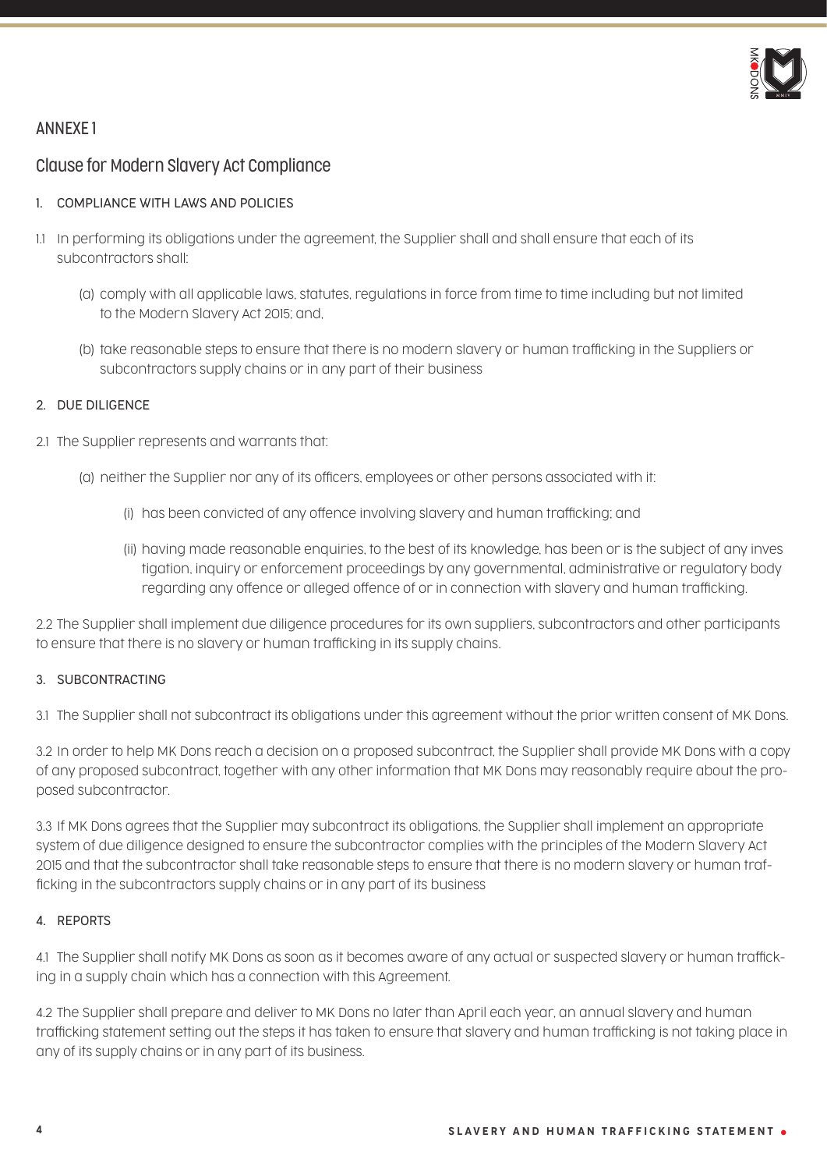

## ANNEXE 1

## Clause for Modern Slavery Act Compliance

## 1. COMPLIANCE WITH LAWS AND POLICIES

- 1.1 In performing its obligations under the agreement, the Supplier shall and shall ensure that each of its subcontractors shall:
	- (a) comply with all applicable laws, statutes, regulations in force from time to time including but not limited to the Modern Slavery Act 2015; and,
	- (b) take reasonable steps to ensure that there is no modern slavery or human trafficking in the Suppliers or subcontractors supply chains or in any part of their business

## 2. DUE DILIGENCE

- 2.1 The Supplier represents and warrants that:
	- (a) neither the Supplier nor any of its officers, employees or other persons associated with it:
		- (i) has been convicted of any offence involving slavery and human trafficking; and
		- (ii) having made reasonable enquiries, to the best of its knowledge, has been or is the subject of any inves tigation, inquiry or enforcement proceedings by any governmental, administrative or regulatory body regarding any offence or alleged offence of or in connection with slavery and human trafficking.

2.2 The Supplier shall implement due diligence procedures for its own suppliers, subcontractors and other participants to ensure that there is no slavery or human trafficking in its supply chains.

## 3. SUBCONTRACTING

3.1 The Supplier shall not subcontract its obligations under this agreement without the prior written consent of MK Dons.

3.2 In order to help MK Dons reach a decision on a proposed subcontract, the Supplier shall provide MK Dons with a copy of any proposed subcontract, together with any other information that MK Dons may reasonably require about the proposed subcontractor.

3.3 If MK Dons agrees that the Supplier may subcontract its obligations, the Supplier shall implement an appropriate system of due diligence designed to ensure the subcontractor complies with the principles of the Modern Slavery Act 2015 and that the subcontractor shall take reasonable steps to ensure that there is no modern slavery or human trafficking in the subcontractors supply chains or in any part of its business

## 4. REPORTS

4.1 The Supplier shall notify MK Dons as soon as it becomes aware of any actual or suspected slavery or human trafficking in a supply chain which has a connection with this Agreement.

4.2 The Supplier shall prepare and deliver to MK Dons no later than April each year, an annual slavery and human trafficking statement setting out the steps it has taken to ensure that slavery and human trafficking is not taking place in any of its supply chains or in any part of its business.